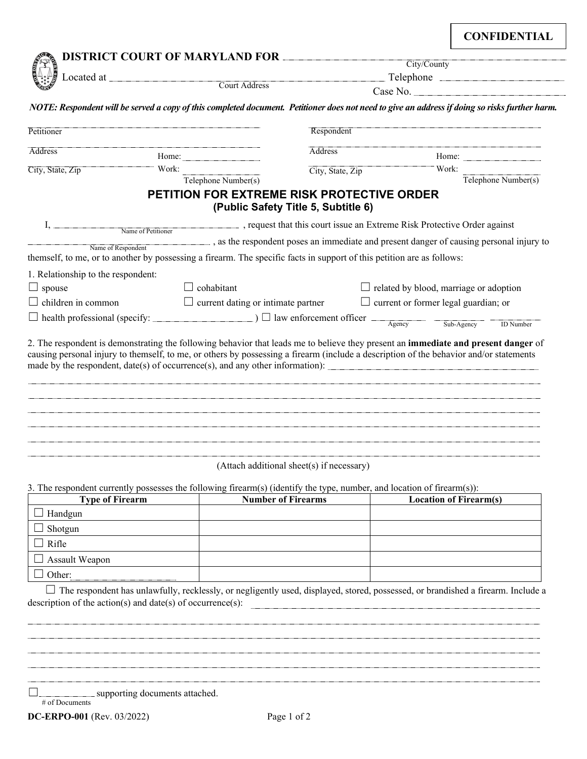**CONFIDENTIAL** 

|                                                                                                                                              |                                                                                             | <b>DISTRICT COURT OF MARYLAND FOR</b><br>City/County |                                                                                                                                                                                                                                                                                                                                                                 |  |  |  |
|----------------------------------------------------------------------------------------------------------------------------------------------|---------------------------------------------------------------------------------------------|------------------------------------------------------|-----------------------------------------------------------------------------------------------------------------------------------------------------------------------------------------------------------------------------------------------------------------------------------------------------------------------------------------------------------------|--|--|--|
|                                                                                                                                              | Telephone                                                                                   |                                                      |                                                                                                                                                                                                                                                                                                                                                                 |  |  |  |
|                                                                                                                                              |                                                                                             |                                                      |                                                                                                                                                                                                                                                                                                                                                                 |  |  |  |
|                                                                                                                                              |                                                                                             |                                                      | NOTE: Respondent will be served a copy of this completed document. Petitioner does not need to give an address if doing so risks further harm.                                                                                                                                                                                                                  |  |  |  |
| Petitioner                                                                                                                                   |                                                                                             | Respondent                                           |                                                                                                                                                                                                                                                                                                                                                                 |  |  |  |
| <b>Address</b>                                                                                                                               |                                                                                             | <b>Address</b>                                       |                                                                                                                                                                                                                                                                                                                                                                 |  |  |  |
| City, State, Zip                                                                                                                             | Work:                                                                                       | City, State, Zip                                     | Work:                                                                                                                                                                                                                                                                                                                                                           |  |  |  |
|                                                                                                                                              | Telephone Number(s)                                                                         |                                                      | Telephone Number(s)                                                                                                                                                                                                                                                                                                                                             |  |  |  |
|                                                                                                                                              | <b>PETITION FOR EXTREME RISK PROTECTIVE ORDER</b>                                           | (Public Safety Title 5, Subtitle 6)                  |                                                                                                                                                                                                                                                                                                                                                                 |  |  |  |
|                                                                                                                                              | Name of Petitioner , request that this court issue an Extreme Risk Protective Order against |                                                      |                                                                                                                                                                                                                                                                                                                                                                 |  |  |  |
|                                                                                                                                              |                                                                                             |                                                      | , as the respondent poses an immediate and present danger of causing personal injury to                                                                                                                                                                                                                                                                         |  |  |  |
| Name of Respondent<br>themself, to me, or to another by possessing a firearm. The specific facts in support of this petition are as follows: |                                                                                             |                                                      |                                                                                                                                                                                                                                                                                                                                                                 |  |  |  |
|                                                                                                                                              |                                                                                             |                                                      |                                                                                                                                                                                                                                                                                                                                                                 |  |  |  |
| 1. Relationship to the respondent:                                                                                                           |                                                                                             |                                                      |                                                                                                                                                                                                                                                                                                                                                                 |  |  |  |
| $\Box$ spouse                                                                                                                                | $\Box$ cohabitant                                                                           |                                                      | $\Box$ related by blood, marriage or adoption                                                                                                                                                                                                                                                                                                                   |  |  |  |
| $\Box$ children in common                                                                                                                    | $\Box$ current dating or intimate partner                                                   |                                                      | $\Box$ current or former legal guardian; or                                                                                                                                                                                                                                                                                                                     |  |  |  |
| $Sub-Agency$<br><b>ID</b> Number                                                                                                             |                                                                                             |                                                      |                                                                                                                                                                                                                                                                                                                                                                 |  |  |  |
|                                                                                                                                              |                                                                                             |                                                      | 2. The respondent is demonstrating the following behavior that leads me to believe they present an immediate and present danger of<br>causing personal injury to themself, to me, or others by possessing a firearm (include a description of the behavior and/or statements<br>made by the respondent, $date(s)$ of occurrence(s), and any other information): |  |  |  |
|                                                                                                                                              |                                                                                             |                                                      |                                                                                                                                                                                                                                                                                                                                                                 |  |  |  |
|                                                                                                                                              | (Attach additional sheet(s) if necessary)                                                   |                                                      |                                                                                                                                                                                                                                                                                                                                                                 |  |  |  |

3. The respondent currently possesses the following firearm(s) (identify the type, number, and location of firearm(s)):

| <b>Type of Firearm</b> | <b>Number of Firearms</b> | <b>Location of Firearm(s)</b> |
|------------------------|---------------------------|-------------------------------|
| Handgun                |                           |                               |
| Shotgun                |                           |                               |
| Rifle                  |                           |                               |
| Assault Weapon         |                           |                               |
| Other:                 |                           |                               |

☐ The respondent has unlawfully, recklessly, or negligently used, displayed, stored, possessed, or brandished a firearm. Include a description of the action(s) and date(s) of occurrence(s):

☐ supporting documents attached.

# of Documents